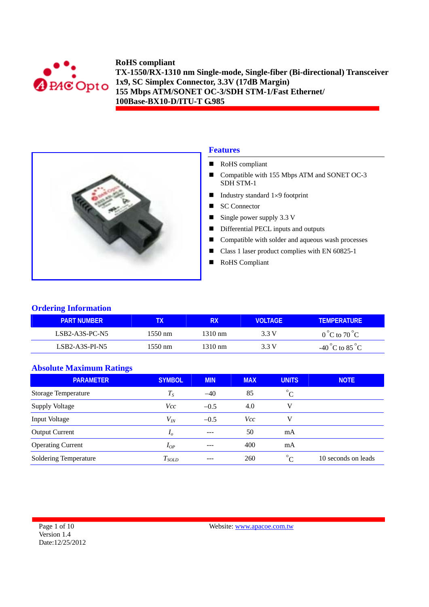



# **Features**

- RoHS compliant
- Compatible with 155 Mbps ATM and SONET OC-3 SDH STM-1
- Industry standard  $1\times 9$  footprint
- SC Connector
- Single power supply  $3.3 \text{ V}$
- Differential PECL inputs and outputs
- Compatible with solder and aqueous wash processes
- Class 1 laser product complies with EN 60825-1
- RoHS Compliant

#### **Ordering Information**

| <b>PART NUMBER</b> |         | RХ                | VOI TAGF. | <b>TEMPERATURE</b>              |
|--------------------|---------|-------------------|-----------|---------------------------------|
| $LSB2-A3S-PC-N5$   | 1550 nm | $1310 \text{ nm}$ | 3.3 V     | $0^{\circ}$ C to $70^{\circ}$ C |
| LSB2-A3S-PI-N5     | 1550 nm | $1310 \text{ nm}$ | 3.3 V     | -40 °C to 85 °C                 |

# **Absolute Maximum Ratings**

| <b>PARAMETER</b>           | <b>SYMBOL</b>  | <b>MIN</b> | <b>MAX</b> | <b>UNITS</b>                | <b>NOTE</b>         |
|----------------------------|----------------|------------|------------|-----------------------------|---------------------|
| <b>Storage Temperature</b> | $T_S$          | $-40$      | 85         | $^{\circ}$ C                |                     |
| <b>Supply Voltage</b>      | Vcc            | $-0.5$     | 4.0        | v                           |                     |
| Input Voltage              | $V_{I\!N}$     | $-0.5$     | <i>Vcc</i> | v                           |                     |
| <b>Output Current</b>      | I <sub>0</sub> | $---$      | 50         | mA                          |                     |
| <b>Operating Current</b>   | $I_{OP}$       |            | 400        | mA                          |                     |
| Soldering Temperature      | $T_{SOLD}$     | ---        | 260        | $\circ$ <sup>o</sup> $\cap$ | 10 seconds on leads |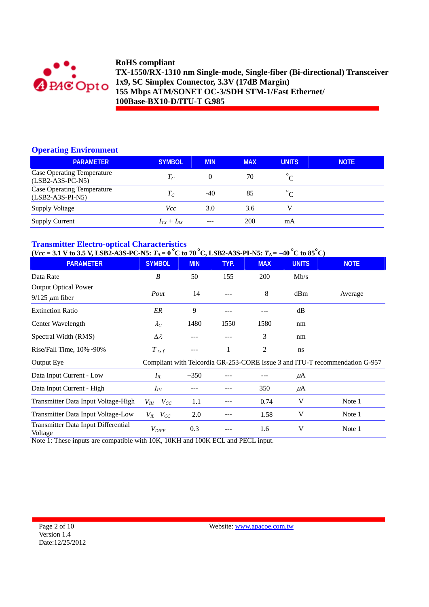

### **Operating Environment**

| <b>PARAMETER</b>                                        | <b>SYMBOL</b>   | <b>MIN</b> | <b>MAX</b> | <b>UNITS</b>          | <b>NOTE</b> |
|---------------------------------------------------------|-----------------|------------|------------|-----------------------|-------------|
| <b>Case Operating Temperature</b><br>$(LSB2-A3S-PC-N5)$ | $T_{C}$         | 0          | 70         | $\circ$<br>$\sqrt{ }$ |             |
| <b>Case Operating Temperature</b><br>$(LSB2-A3S-PI-NS)$ | $T_{C}$         | $-40$      | 85         |                       |             |
| Supply Voltage                                          | Vcc             | 3.0        | 3.6        | V                     |             |
| <b>Supply Current</b>                                   | $I_{TX}+I_{RX}$ |            | 200        | mA                    |             |

## **Transmitter Electro-optical Characteristics**

 $(*Vcc* = 3.1 V to 3.5 V, LSB2-A3S-PC-NS:$   $T_A = 0^{\circ}C$  to 70 °C, LSB2-A3S-PI-N5:  $T_A = -40^{\circ}C$  to 85 °C)

| <b>PARAMETER</b>                               | <b>SYMBOL</b>       | <b>MIN</b> | TYP. | <b>MAX</b> | <b>UNITS</b> | <b>NOTE</b>                                                                 |
|------------------------------------------------|---------------------|------------|------|------------|--------------|-----------------------------------------------------------------------------|
| Data Rate                                      | B                   | 50         | 155  | <b>200</b> | Mb/s         |                                                                             |
| <b>Output Optical Power</b>                    |                     |            |      |            |              |                                                                             |
| $9/125 \mu m$ fiber                            | Pout                | $-14$      |      | $-8$       | dBm          | Average                                                                     |
| <b>Extinction Ratio</b>                        | ER                  | 9          | ---  |            | dB           |                                                                             |
| Center Wavelength                              | $\lambda_C$         | 1480       | 1550 | 1580       | nm           |                                                                             |
| Spectral Width (RMS)                           | $\Delta \lambda$    |            |      | 3          | nm           |                                                                             |
| Rise/Fall Time, $10\% \sim 90\%$               | $T_{r,f}$           | ---        | 1    | 2          | ns           |                                                                             |
| Output Eye                                     |                     |            |      |            |              | Compliant with Telcordia GR-253-CORE Issue 3 and ITU-T recommendation G-957 |
| Data Input Current - Low                       | $I_{I\!L}$          | $-350$     |      |            | $\mu$ A      |                                                                             |
| Data Input Current - High                      | $I_{I\!H}$          |            |      | 350        | $\mu$ A      |                                                                             |
| Transmitter Data Input Voltage-High            | $V_{IH} - V_{CC}$   | $-1.1$     |      | $-0.74$    | V            | Note 1                                                                      |
| Transmitter Data Input Voltage-Low             | $V_{IL}$ – $V_{CC}$ | $-2.0$     |      | $-1.58$    | V            | Note 1                                                                      |
| Transmitter Data Input Differential<br>Voltage | $V_{\mathit{DIFF}}$ | 0.3        |      | 1.6        | V            | Note 1                                                                      |

Note 1: These inputs are compatible with 10K, 10KH and 100K ECL and PECL input.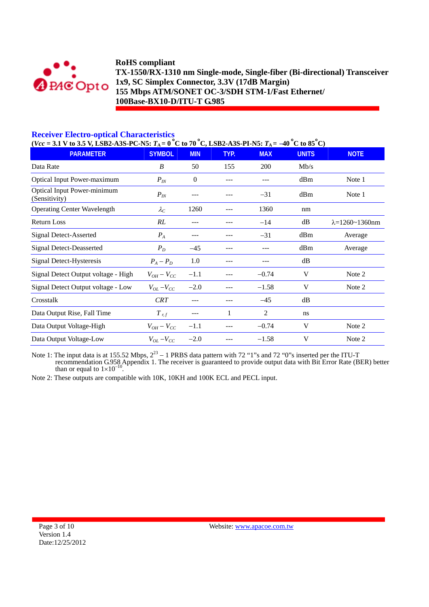

## **Receiver Electro-optical Characteristics**

 $(Vec = 3.1 \text{ V to } 3.5 \text{ V}, \text{LSB2-A3S-PC-NS: } T_A = 0\text{ °C to } 70\text{ °C}, \text{LSB2-A3S-PI-NS: } T_A = -40\text{ °C to } 85\text{ °C}$ 

| <b>PARAMETER</b>                             | <b>SYMBOL</b>       | <b>MIN</b>     | TYP. | <b>MAX</b>     | <b>UNITS</b> | <b>NOTE</b>                |
|----------------------------------------------|---------------------|----------------|------|----------------|--------------|----------------------------|
| Data Rate                                    | B                   | 50             | 155  | 200            | Mb/s         |                            |
| <b>Optical Input Power-maximum</b>           | $P_{IN}$            | $\overline{0}$ |      | ---            | dBm          | Note 1                     |
| Optical Input Power-minimum<br>(Sensitivity) | $P_{IN}$            | ---            |      | $-31$          | dBm          | Note 1                     |
| <b>Operating Center Wavelength</b>           | $\lambda_C$         | 1260           |      | 1360           | nm           |                            |
| <b>Return Loss</b>                           | RL                  | $---$          |      | $-14$          | dB           | $\lambda = 1260 - 1360$ nm |
| <b>Signal Detect-Asserted</b>                | $P_{A}$             | ---            |      | $-31$          | dBm          | Average                    |
| <b>Signal Detect-Deasserted</b>              | $P_D$               | $-45$          |      | ---            | dBm          | Average                    |
| Signal Detect-Hysteresis                     | $P_A - P_D$         | 1.0            |      |                | dB           |                            |
| Signal Detect Output voltage - High          | $V_{OH} - V_{CC}$   | $-1.1$         |      | $-0.74$        | V            | Note 2                     |
| Signal Detect Output voltage - Low           | $V_{OL}$ – $V_{CC}$ | $-2.0$         |      | $-1.58$        | V            | Note 2                     |
| Crosstalk                                    | <b>CRT</b>          | $---$          |      | $-45$          | dB           |                            |
| Data Output Rise, Fall Time                  | $T$ r, f            | $---$          | 1    | $\overline{2}$ | ns           |                            |
| Data Output Voltage-High                     | $V_{OH}-V_{CC}$     | $-1.1$         |      | $-0.74$        | V            | Note 2                     |
| Data Output Voltage-Low                      | $V_{OL}$ – $V_{CC}$ | $-2.0$         |      | $-1.58$        | V            | Note 2                     |

Note 1: The input data is at 155.52 Mbps,  $2^{23} - 1$  PRBS data pattern with 72 "1"s and 72 "0"s inserted per the ITU-T recommendation G.958 Appendix 1. The receiver is guaranteed to provide output data with Bit Error Rate (BER) better than or equal to 1×10<sup>-10</sup>.

Note 2: These outputs are compatible with 10K, 10KH and 100K ECL and PECL input.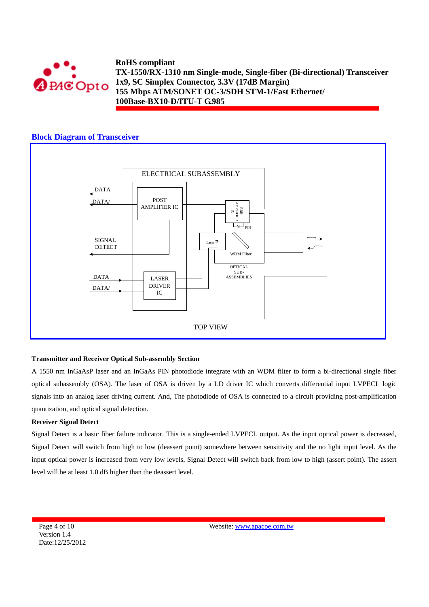

## **Block Diagram of Transceiver**



#### **Transmitter and Receiver Optical Sub-assembly Section**

A 1550 nm InGaAsP laser and an InGaAs PIN photodiode integrate with an WDM filter to form a bi-directional single fiber optical subassembly (OSA). The laser of OSA is driven by a LD driver IC which converts differential input LVPECL logic signals into an analog laser driving current. And, The photodiode of OSA is connected to a circuit providing post-amplification quantization, and optical signal detection.

#### **Receiver Signal Detect**

Signal Detect is a basic fiber failure indicator. This is a single-ended LVPECL output. As the input optical power is decreased, Signal Detect will switch from high to low (deassert point) somewhere between sensitivity and the no light input level. As the input optical power is increased from very low levels, Signal Detect will switch back from low to high (assert point). The assert level will be at least 1.0 dB higher than the deassert level.

Page 4 of 10 Version 1.4 Date:12/25/2012 Website: www.apacoe.com.tw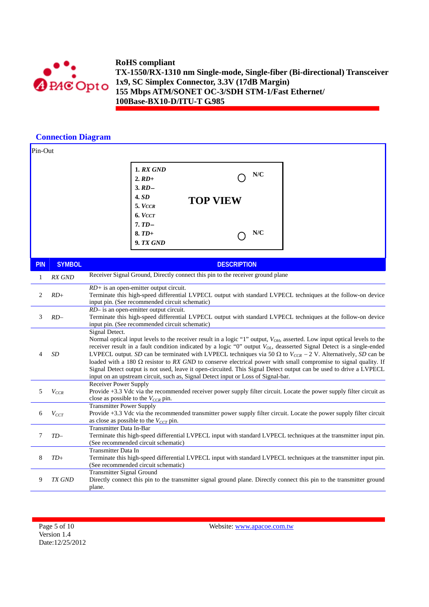

# **Connection Diagram**

| Pin-Out    |               |                                                                                                                                                                                                                                                                                                                                                                                                                                                                                                                                                                                                                                                                                                                                                       |  |  |  |  |  |
|------------|---------------|-------------------------------------------------------------------------------------------------------------------------------------------------------------------------------------------------------------------------------------------------------------------------------------------------------------------------------------------------------------------------------------------------------------------------------------------------------------------------------------------------------------------------------------------------------------------------------------------------------------------------------------------------------------------------------------------------------------------------------------------------------|--|--|--|--|--|
|            |               | <b>1. RX GND</b><br>N/C<br>$2. RD$ +<br>$3. RD -$<br>4.SD<br><b>TOP VIEW</b><br>5. VCCR<br>6. VCCT<br>$7.TD-$<br>N/C<br>$8. TD+$<br><b>9. TX GND</b>                                                                                                                                                                                                                                                                                                                                                                                                                                                                                                                                                                                                  |  |  |  |  |  |
| <b>PIN</b> | <b>SYMBOL</b> | <b>DESCRIPTION</b>                                                                                                                                                                                                                                                                                                                                                                                                                                                                                                                                                                                                                                                                                                                                    |  |  |  |  |  |
| 1          | RX GND        | Receiver Signal Ground, Directly connect this pin to the receiver ground plane                                                                                                                                                                                                                                                                                                                                                                                                                                                                                                                                                                                                                                                                        |  |  |  |  |  |
| 2          | $RD+$         | $RD$ + is an open-emitter output circuit.<br>Terminate this high-speed differential LVPECL output with standard LVPECL techniques at the follow-on device<br>input pin. (See recommended circuit schematic)                                                                                                                                                                                                                                                                                                                                                                                                                                                                                                                                           |  |  |  |  |  |
| 3          | $RD-$         | $RD-$ is an open-emitter output circuit.<br>Terminate this high-speed differential LVPECL output with standard LVPECL techniques at the follow-on device<br>input pin. (See recommended circuit schematic)                                                                                                                                                                                                                                                                                                                                                                                                                                                                                                                                            |  |  |  |  |  |
| 4          | SD            | Signal Detect.<br>Normal optical input levels to the receiver result in a logic "1" output, V <sub>OH</sub> , asserted. Low input optical levels to the<br>receiver result in a fault condition indicated by a logic "0" output $V_{OL}$ , deasserted Signal Detect is a single-ended<br>LVPECL output. SD can be terminated with LVPECL techniques via 50 $\Omega$ to $V_{CCR} - 2$ V. Alternatively, SD can be<br>loaded with a 180 $\Omega$ resistor to RX GND to conserve electrical power with small compromise to signal quality. If<br>Signal Detect output is not used, leave it open-circuited. This Signal Detect output can be used to drive a LVPECL<br>input on an upstream circuit, such as, Signal Detect input or Loss of Signal-bar. |  |  |  |  |  |
| 5          | $V_{CCR}$     | Receiver Power Supply<br>Provide +3.3 Vdc via the recommended receiver power supply filter circuit. Locate the power supply filter circuit as<br>close as possible to the $V_{CCR}$ pin.                                                                                                                                                                                                                                                                                                                                                                                                                                                                                                                                                              |  |  |  |  |  |
| 6          | $V_{CCT}$     | <b>Transmitter Power Supply</b><br>Provide +3.3 Vdc via the recommended transmitter power supply filter circuit. Locate the power supply filter circuit<br>as close as possible to the $V_{CCT}$ pin.                                                                                                                                                                                                                                                                                                                                                                                                                                                                                                                                                 |  |  |  |  |  |
| 7          | $TD-$         | Transmitter Data In-Bar<br>Terminate this high-speed differential LVPECL input with standard LVPECL techniques at the transmitter input pin.<br>(See recommended circuit schematic)                                                                                                                                                                                                                                                                                                                                                                                                                                                                                                                                                                   |  |  |  |  |  |
| 8          | $TD+$         | Transmitter Data In<br>Terminate this high-speed differential LVPECL input with standard LVPECL techniques at the transmitter input pin.<br>(See recommended circuit schematic)                                                                                                                                                                                                                                                                                                                                                                                                                                                                                                                                                                       |  |  |  |  |  |
| 9          | <b>TX GND</b> | <b>Transmitter Signal Ground</b><br>Directly connect this pin to the transmitter signal ground plane. Directly connect this pin to the transmitter ground<br>plane.                                                                                                                                                                                                                                                                                                                                                                                                                                                                                                                                                                                   |  |  |  |  |  |

Website: www.apacoe.com.tw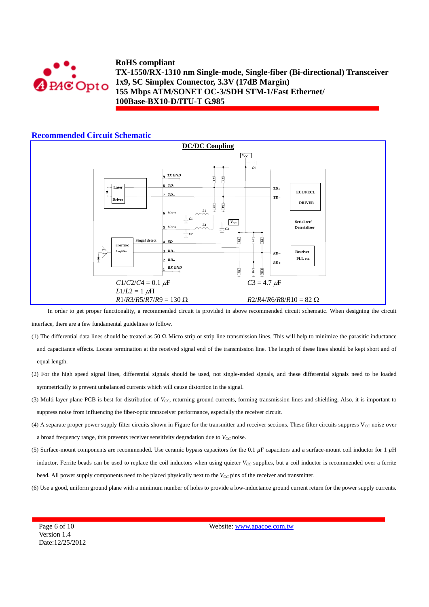

#### **Recommended Circuit Schematic**



In order to get proper functionality, a recommended circuit is provided in above recommended circuit schematic. When designing the circuit interface, there are a few fundamental guidelines to follow.

- (1) The differential data lines should be treated as 50  $\Omega$  Micro strip or strip line transmission lines. This will help to minimize the parasitic inductance and capacitance effects. Locate termination at the received signal end of the transmission line. The length of these lines should be kept short and of equal length.
- (2) For the high speed signal lines, differential signals should be used, not single-ended signals, and these differential signals need to be loaded symmetrically to prevent unbalanced currents which will cause distortion in the signal.
- (3) Multi layer plane PCB is best for distribution of *V<sub>CC</sub>*, returning ground currents, forming transmission lines and shielding, Also, it is important to suppress noise from influencing the fiber-optic transceiver performance, especially the receiver circuit.
- (4) A separate proper power supply filter circuits shown in Figure for the transmitter and receiver sections. These filter circuits suppress  $V_{\rm CC}$  noise over a broad frequency range, this prevents receiver sensitivity degradation due to  $V_{CC}$  noise.
- (5) Surface-mount components are recommended. Use ceramic bypass capacitors for the 0.1 *µ*F capacitors and a surface-mount coil inductor for 1 *µ*H inductor. Ferrite beads can be used to replace the coil inductors when using quieter  $V_{CC}$  supplies, but a coil inductor is recommended over a ferrite bead. All power supply components need to be placed physically next to the *V<sub>CC</sub>* pins of the receiver and transmitter.
- (6) Use a good, uniform ground plane with a minimum number of holes to provide a low-inductance ground current return for the power supply currents.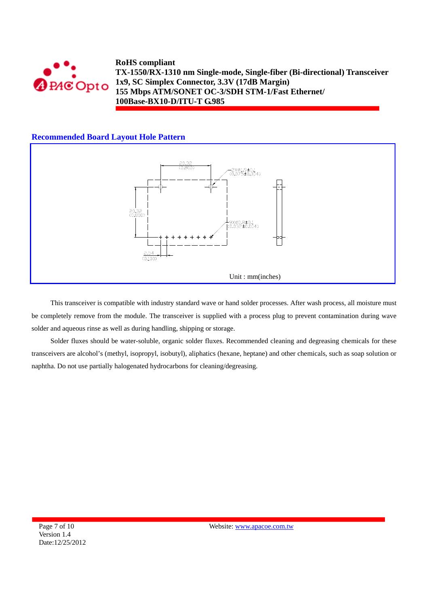

## **Recommended Board Layout Hole Pattern**



This transceiver is compatible with industry standard wave or hand solder processes. After wash process, all moisture must be completely remove from the module. The transceiver is supplied with a process plug to prevent contamination during wave solder and aqueous rinse as well as during handling, shipping or storage.

Solder fluxes should be water-soluble, organic solder fluxes. Recommended cleaning and degreasing chemicals for these transceivers are alcohol's (methyl, isopropyl, isobutyl), aliphatics (hexane, heptane) and other chemicals, such as soap solution or naphtha. Do not use partially halogenated hydrocarbons for cleaning/degreasing.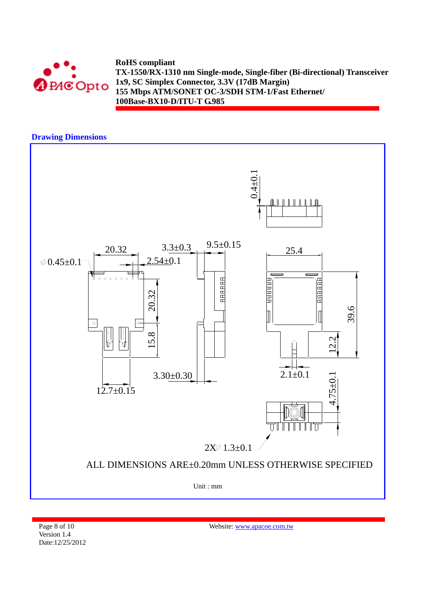

## **Drawing Dimensions**



Page 8 of 10 Version 1.4 Date:12/25/2012 Website: www.apacoe.com.tw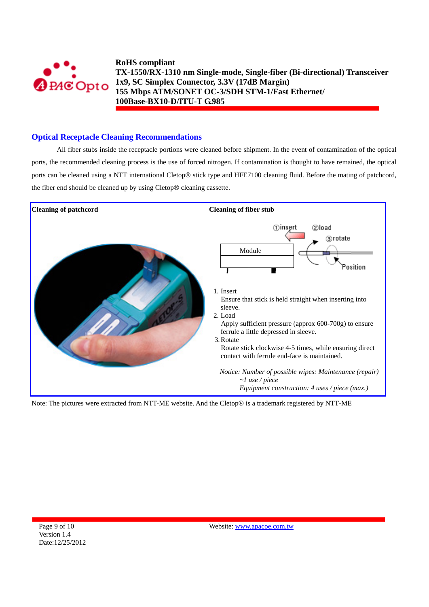

### **Optical Receptacle Cleaning Recommendations**

All fiber stubs inside the receptacle portions were cleaned before shipment. In the event of contamination of the optical ports, the recommended cleaning process is the use of forced nitrogen. If contamination is thought to have remained, the optical ports can be cleaned using a NTT international Cletop® stick type and HFE7100 cleaning fluid. Before the mating of patchcord, the fiber end should be cleaned up by using Cletop® cleaning cassette.



Note: The pictures were extracted from NTT-ME website. And the Cletop® is a trademark registered by NTT-ME